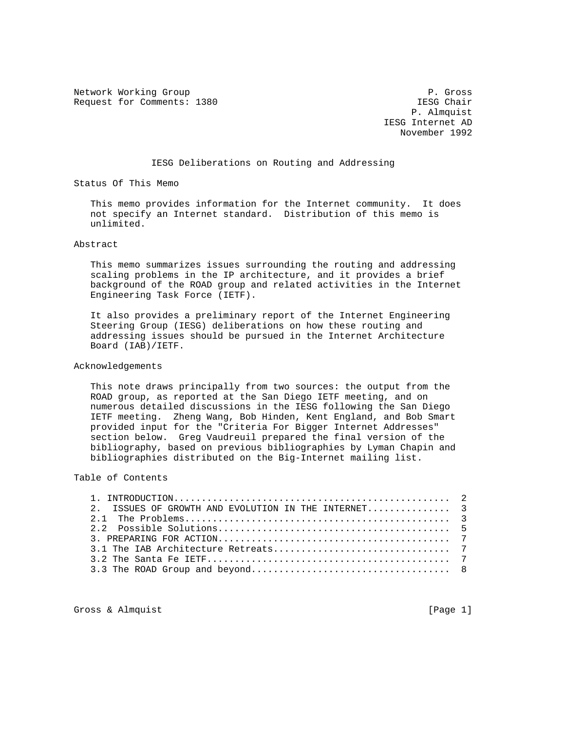Network Working Group **P. Gross** P. Gross Request for Comments: 1380 **IESG** Chair

 P. Almquist IESG Internet AD November 1992

## IESG Deliberations on Routing and Addressing

Status Of This Memo

 This memo provides information for the Internet community. It does not specify an Internet standard. Distribution of this memo is unlimited.

Abstract

 This memo summarizes issues surrounding the routing and addressing scaling problems in the IP architecture, and it provides a brief background of the ROAD group and related activities in the Internet Engineering Task Force (IETF).

 It also provides a preliminary report of the Internet Engineering Steering Group (IESG) deliberations on how these routing and addressing issues should be pursued in the Internet Architecture Board (IAB)/IETF.

## Acknowledgements

 This note draws principally from two sources: the output from the ROAD group, as reported at the San Diego IETF meeting, and on numerous detailed discussions in the IESG following the San Diego IETF meeting. Zheng Wang, Bob Hinden, Kent England, and Bob Smart provided input for the "Criteria For Bigger Internet Addresses" section below. Greg Vaudreuil prepared the final version of the bibliography, based on previous bibliographies by Lyman Chapin and bibliographies distributed on the Big-Internet mailing list.

## Table of Contents

| 2. ISSUES OF GROWTH AND EVOLUTION IN THE INTERNET 3 |  |
|-----------------------------------------------------|--|
|                                                     |  |
|                                                     |  |
|                                                     |  |
|                                                     |  |
|                                                     |  |
|                                                     |  |

Gross & Almquist [Page 1]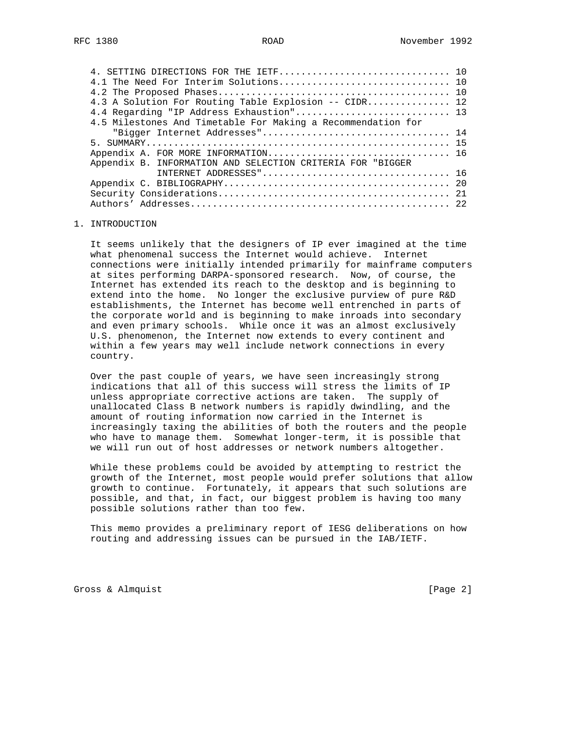| 4. SETTING DIRECTIONS FOR THE IETF 10                        |  |
|--------------------------------------------------------------|--|
| 4.1 The Need For Interim Solutions 10                        |  |
|                                                              |  |
| 4.3 A Solution For Routing Table Explosion -- CIDR 12        |  |
| 4.4 Regarding "IP Address Exhaustion" 13                     |  |
| 4.5 Milestones And Timetable For Making a Recommendation for |  |
|                                                              |  |
|                                                              |  |
| Appendix A. FOR MORE INFORMATION 16                          |  |
| Appendix B. INFORMATION AND SELECTION CRITERIA FOR "BIGGER   |  |
|                                                              |  |
|                                                              |  |
|                                                              |  |
| Authors'                                                     |  |
|                                                              |  |

### 1. INTRODUCTION

 It seems unlikely that the designers of IP ever imagined at the time what phenomenal success the Internet would achieve. Internet connections were initially intended primarily for mainframe computers at sites performing DARPA-sponsored research. Now, of course, the Internet has extended its reach to the desktop and is beginning to extend into the home. No longer the exclusive purview of pure R&D establishments, the Internet has become well entrenched in parts of the corporate world and is beginning to make inroads into secondary and even primary schools. While once it was an almost exclusively U.S. phenomenon, the Internet now extends to every continent and within a few years may well include network connections in every country.

 Over the past couple of years, we have seen increasingly strong indications that all of this success will stress the limits of IP unless appropriate corrective actions are taken. The supply of unallocated Class B network numbers is rapidly dwindling, and the amount of routing information now carried in the Internet is increasingly taxing the abilities of both the routers and the people who have to manage them. Somewhat longer-term, it is possible that we will run out of host addresses or network numbers altogether.

 While these problems could be avoided by attempting to restrict the growth of the Internet, most people would prefer solutions that allow growth to continue. Fortunately, it appears that such solutions are possible, and that, in fact, our biggest problem is having too many possible solutions rather than too few.

 This memo provides a preliminary report of IESG deliberations on how routing and addressing issues can be pursued in the IAB/IETF.

Gross & Almquist [Page 2]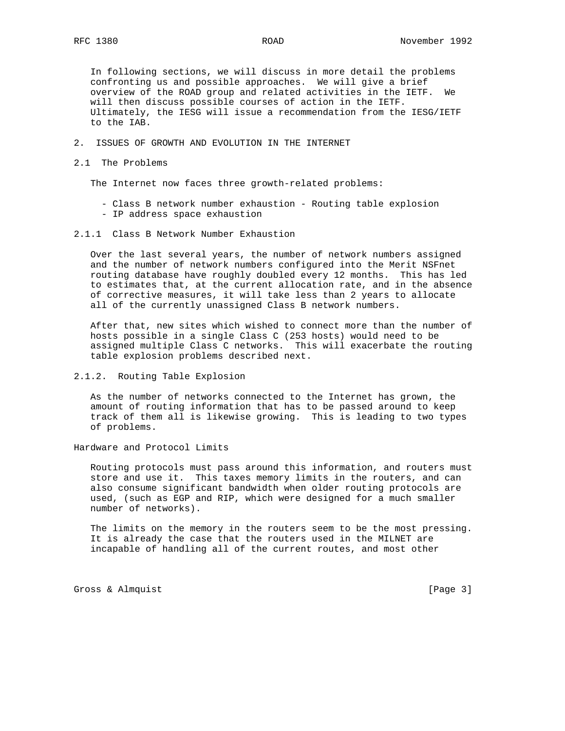In following sections, we will discuss in more detail the problems confronting us and possible approaches. We will give a brief overview of the ROAD group and related activities in the IETF. We will then discuss possible courses of action in the IETF. Ultimately, the IESG will issue a recommendation from the IESG/IETF to the IAB.

- 2. ISSUES OF GROWTH AND EVOLUTION IN THE INTERNET
- 2.1 The Problems

The Internet now faces three growth-related problems:

- Class B network number exhaustion Routing table explosion
- IP address space exhaustion
- 2.1.1 Class B Network Number Exhaustion

 Over the last several years, the number of network numbers assigned and the number of network numbers configured into the Merit NSFnet routing database have roughly doubled every 12 months. This has led to estimates that, at the current allocation rate, and in the absence of corrective measures, it will take less than 2 years to allocate all of the currently unassigned Class B network numbers.

 After that, new sites which wished to connect more than the number of hosts possible in a single Class C (253 hosts) would need to be assigned multiple Class C networks. This will exacerbate the routing table explosion problems described next.

2.1.2. Routing Table Explosion

 As the number of networks connected to the Internet has grown, the amount of routing information that has to be passed around to keep track of them all is likewise growing. This is leading to two types of problems.

Hardware and Protocol Limits

 Routing protocols must pass around this information, and routers must store and use it. This taxes memory limits in the routers, and can also consume significant bandwidth when older routing protocols are used, (such as EGP and RIP, which were designed for a much smaller number of networks).

 The limits on the memory in the routers seem to be the most pressing. It is already the case that the routers used in the MILNET are incapable of handling all of the current routes, and most other

Gross & Almquist [Page 3]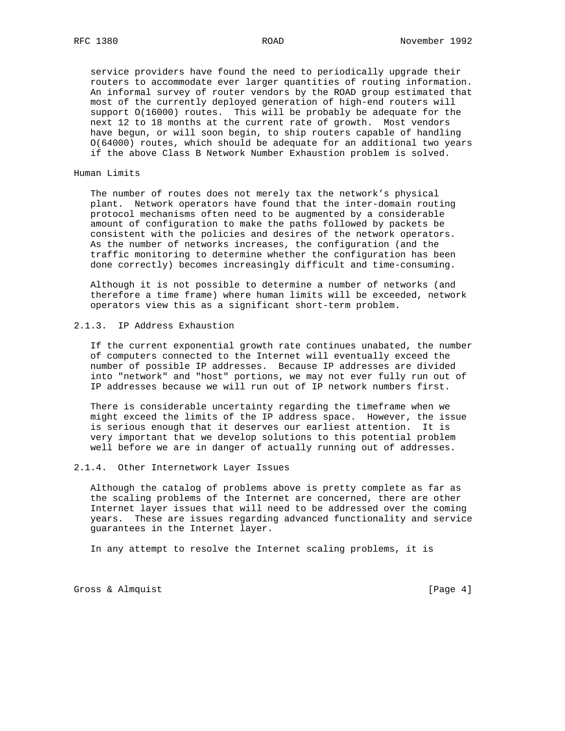service providers have found the need to periodically upgrade their routers to accommodate ever larger quantities of routing information. An informal survey of router vendors by the ROAD group estimated that most of the currently deployed generation of high-end routers will support O(16000) routes. This will be probably be adequate for the next 12 to 18 months at the current rate of growth. Most vendors have begun, or will soon begin, to ship routers capable of handling O(64000) routes, which should be adequate for an additional two years if the above Class B Network Number Exhaustion problem is solved.

### Human Limits

 The number of routes does not merely tax the network's physical plant. Network operators have found that the inter-domain routing protocol mechanisms often need to be augmented by a considerable amount of configuration to make the paths followed by packets be consistent with the policies and desires of the network operators. As the number of networks increases, the configuration (and the traffic monitoring to determine whether the configuration has been done correctly) becomes increasingly difficult and time-consuming.

 Although it is not possible to determine a number of networks (and therefore a time frame) where human limits will be exceeded, network operators view this as a significant short-term problem.

## 2.1.3. IP Address Exhaustion

 If the current exponential growth rate continues unabated, the number of computers connected to the Internet will eventually exceed the number of possible IP addresses. Because IP addresses are divided into "network" and "host" portions, we may not ever fully run out of IP addresses because we will run out of IP network numbers first.

 There is considerable uncertainty regarding the timeframe when we might exceed the limits of the IP address space. However, the issue is serious enough that it deserves our earliest attention. It is very important that we develop solutions to this potential problem well before we are in danger of actually running out of addresses.

### 2.1.4. Other Internetwork Layer Issues

 Although the catalog of problems above is pretty complete as far as the scaling problems of the Internet are concerned, there are other Internet layer issues that will need to be addressed over the coming years. These are issues regarding advanced functionality and service guarantees in the Internet layer.

In any attempt to resolve the Internet scaling problems, it is

Gross & Almquist [Page 4]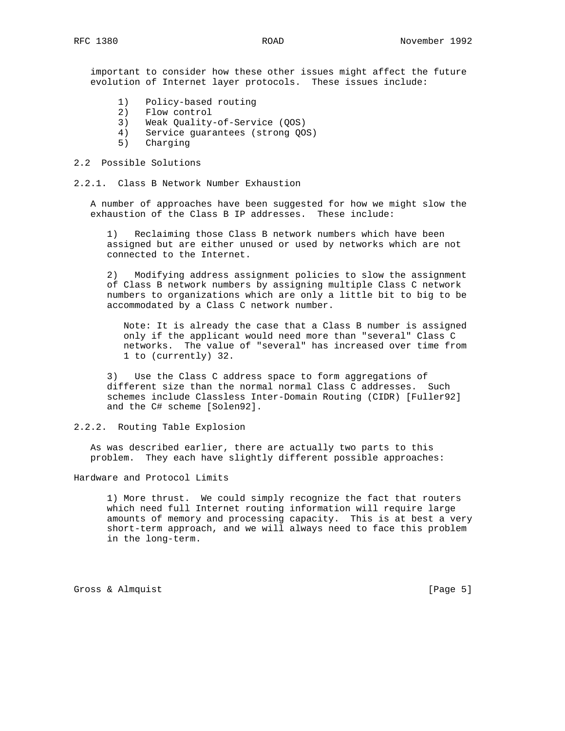important to consider how these other issues might affect the future evolution of Internet layer protocols. These issues include:

- 1) Policy-based routing
- 2) Flow control
- 3) Weak Quality-of-Service (QOS)
- 4) Service guarantees (strong QOS)
- 5) Charging

## 2.2 Possible Solutions

2.2.1. Class B Network Number Exhaustion

 A number of approaches have been suggested for how we might slow the exhaustion of the Class B IP addresses. These include:

 1) Reclaiming those Class B network numbers which have been assigned but are either unused or used by networks which are not connected to the Internet.

 2) Modifying address assignment policies to slow the assignment of Class B network numbers by assigning multiple Class C network numbers to organizations which are only a little bit to big to be accommodated by a Class C network number.

 Note: It is already the case that a Class B number is assigned only if the applicant would need more than "several" Class C networks. The value of "several" has increased over time from 1 to (currently) 32.

 3) Use the Class C address space to form aggregations of different size than the normal normal Class C addresses. Such schemes include Classless Inter-Domain Routing (CIDR) [Fuller92] and the C# scheme [Solen92].

## 2.2.2. Routing Table Explosion

 As was described earlier, there are actually two parts to this problem. They each have slightly different possible approaches:

### Hardware and Protocol Limits

 1) More thrust. We could simply recognize the fact that routers which need full Internet routing information will require large amounts of memory and processing capacity. This is at best a very short-term approach, and we will always need to face this problem in the long-term.

Gross & Almquist [Page 5]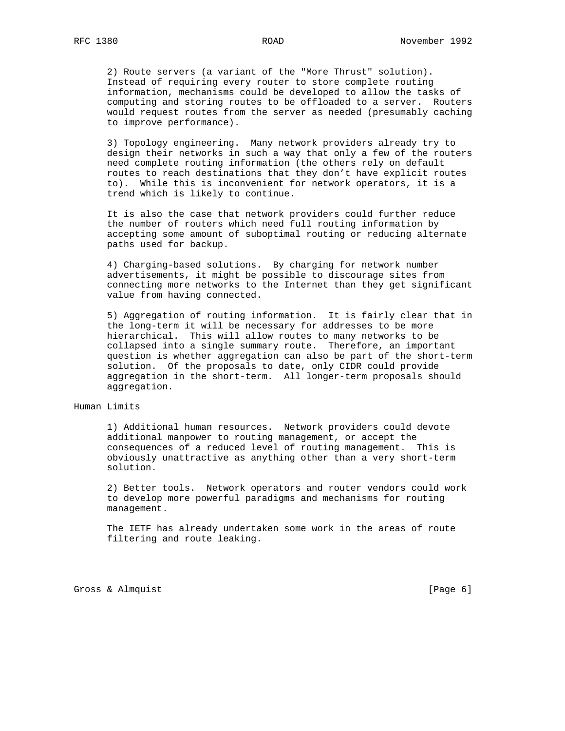2) Route servers (a variant of the "More Thrust" solution). Instead of requiring every router to store complete routing information, mechanisms could be developed to allow the tasks of computing and storing routes to be offloaded to a server. Routers would request routes from the server as needed (presumably caching to improve performance).

 3) Topology engineering. Many network providers already try to design their networks in such a way that only a few of the routers need complete routing information (the others rely on default routes to reach destinations that they don't have explicit routes to). While this is inconvenient for network operators, it is a trend which is likely to continue.

 It is also the case that network providers could further reduce the number of routers which need full routing information by accepting some amount of suboptimal routing or reducing alternate paths used for backup.

 4) Charging-based solutions. By charging for network number advertisements, it might be possible to discourage sites from connecting more networks to the Internet than they get significant value from having connected.

 5) Aggregation of routing information. It is fairly clear that in the long-term it will be necessary for addresses to be more hierarchical. This will allow routes to many networks to be collapsed into a single summary route. Therefore, an important question is whether aggregation can also be part of the short-term solution. Of the proposals to date, only CIDR could provide aggregation in the short-term. All longer-term proposals should aggregation.

## Human Limits

 1) Additional human resources. Network providers could devote additional manpower to routing management, or accept the consequences of a reduced level of routing management. This is obviously unattractive as anything other than a very short-term solution.

 2) Better tools. Network operators and router vendors could work to develop more powerful paradigms and mechanisms for routing management.

 The IETF has already undertaken some work in the areas of route filtering and route leaking.

Gross & Almquist [Page 6]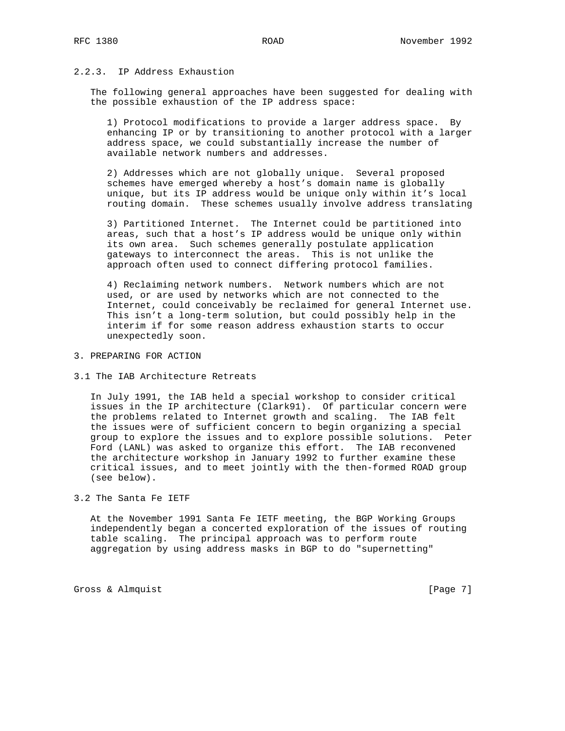# 2.2.3. IP Address Exhaustion

 The following general approaches have been suggested for dealing with the possible exhaustion of the IP address space:

 1) Protocol modifications to provide a larger address space. By enhancing IP or by transitioning to another protocol with a larger address space, we could substantially increase the number of available network numbers and addresses.

 2) Addresses which are not globally unique. Several proposed schemes have emerged whereby a host's domain name is globally unique, but its IP address would be unique only within it's local routing domain. These schemes usually involve address translating

 3) Partitioned Internet. The Internet could be partitioned into areas, such that a host's IP address would be unique only within its own area. Such schemes generally postulate application gateways to interconnect the areas. This is not unlike the approach often used to connect differing protocol families.

 4) Reclaiming network numbers. Network numbers which are not used, or are used by networks which are not connected to the Internet, could conceivably be reclaimed for general Internet use. This isn't a long-term solution, but could possibly help in the interim if for some reason address exhaustion starts to occur unexpectedly soon.

- 3. PREPARING FOR ACTION
- 3.1 The IAB Architecture Retreats

 In July 1991, the IAB held a special workshop to consider critical issues in the IP architecture (Clark91). Of particular concern were the problems related to Internet growth and scaling. The IAB felt the issues were of sufficient concern to begin organizing a special group to explore the issues and to explore possible solutions. Peter Ford (LANL) was asked to organize this effort. The IAB reconvened the architecture workshop in January 1992 to further examine these critical issues, and to meet jointly with the then-formed ROAD group (see below).

## 3.2 The Santa Fe IETF

 At the November 1991 Santa Fe IETF meeting, the BGP Working Groups independently began a concerted exploration of the issues of routing table scaling. The principal approach was to perform route aggregation by using address masks in BGP to do "supernetting"

Gross & Almquist [Page 7]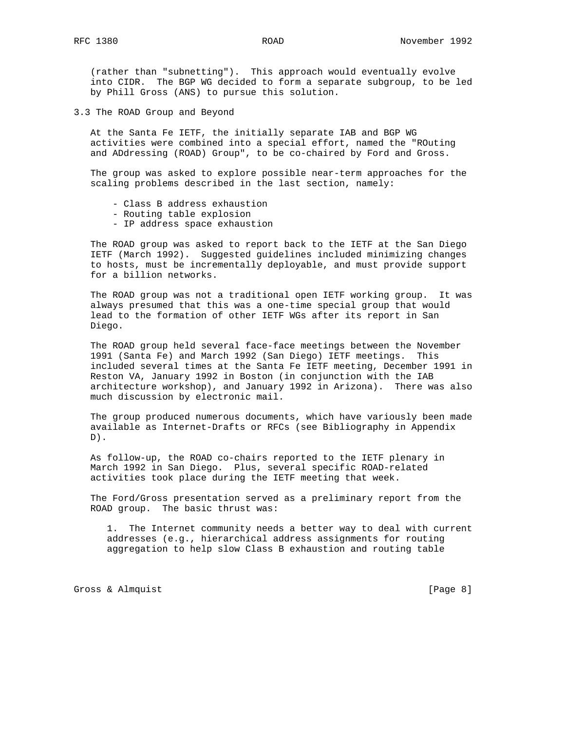(rather than "subnetting"). This approach would eventually evolve into CIDR. The BGP WG decided to form a separate subgroup, to be led by Phill Gross (ANS) to pursue this solution.

3.3 The ROAD Group and Beyond

 At the Santa Fe IETF, the initially separate IAB and BGP WG activities were combined into a special effort, named the "ROuting and ADdressing (ROAD) Group", to be co-chaired by Ford and Gross.

 The group was asked to explore possible near-term approaches for the scaling problems described in the last section, namely:

- Class B address exhaustion
- Routing table explosion
- IP address space exhaustion

 The ROAD group was asked to report back to the IETF at the San Diego IETF (March 1992). Suggested guidelines included minimizing changes to hosts, must be incrementally deployable, and must provide support for a billion networks.

 The ROAD group was not a traditional open IETF working group. It was always presumed that this was a one-time special group that would lead to the formation of other IETF WGs after its report in San Diego.

 The ROAD group held several face-face meetings between the November 1991 (Santa Fe) and March 1992 (San Diego) IETF meetings. This included several times at the Santa Fe IETF meeting, December 1991 in Reston VA, January 1992 in Boston (in conjunction with the IAB architecture workshop), and January 1992 in Arizona). There was also much discussion by electronic mail.

 The group produced numerous documents, which have variously been made available as Internet-Drafts or RFCs (see Bibliography in Appendix  $D)$ .

 As follow-up, the ROAD co-chairs reported to the IETF plenary in March 1992 in San Diego. Plus, several specific ROAD-related activities took place during the IETF meeting that week.

 The Ford/Gross presentation served as a preliminary report from the ROAD group. The basic thrust was:

 1. The Internet community needs a better way to deal with current addresses (e.g., hierarchical address assignments for routing aggregation to help slow Class B exhaustion and routing table

Gross & Almquist [Page 8]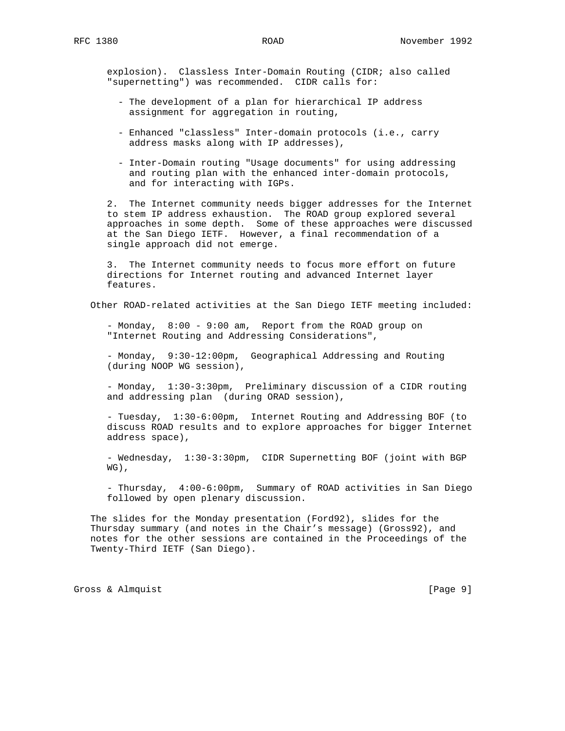explosion). Classless Inter-Domain Routing (CIDR; also called "supernetting") was recommended. CIDR calls for:

- The development of a plan for hierarchical IP address assignment for aggregation in routing,
- Enhanced "classless" Inter-domain protocols (i.e., carry address masks along with IP addresses),
- Inter-Domain routing "Usage documents" for using addressing and routing plan with the enhanced inter-domain protocols, and for interacting with IGPs.

 2. The Internet community needs bigger addresses for the Internet to stem IP address exhaustion. The ROAD group explored several approaches in some depth. Some of these approaches were discussed at the San Diego IETF. However, a final recommendation of a single approach did not emerge.

 3. The Internet community needs to focus more effort on future directions for Internet routing and advanced Internet layer features.

Other ROAD-related activities at the San Diego IETF meeting included:

 - Monday, 8:00 - 9:00 am, Report from the ROAD group on "Internet Routing and Addressing Considerations",

 - Monday, 9:30-12:00pm, Geographical Addressing and Routing (during NOOP WG session),

 - Monday, 1:30-3:30pm, Preliminary discussion of a CIDR routing and addressing plan (during ORAD session),

 - Tuesday, 1:30-6:00pm, Internet Routing and Addressing BOF (to discuss ROAD results and to explore approaches for bigger Internet address space),

 - Wednesday, 1:30-3:30pm, CIDR Supernetting BOF (joint with BGP WG),

 - Thursday, 4:00-6:00pm, Summary of ROAD activities in San Diego followed by open plenary discussion.

 The slides for the Monday presentation (Ford92), slides for the Thursday summary (and notes in the Chair's message) (Gross92), and notes for the other sessions are contained in the Proceedings of the Twenty-Third IETF (San Diego).

Gross & Almquist [Page 9]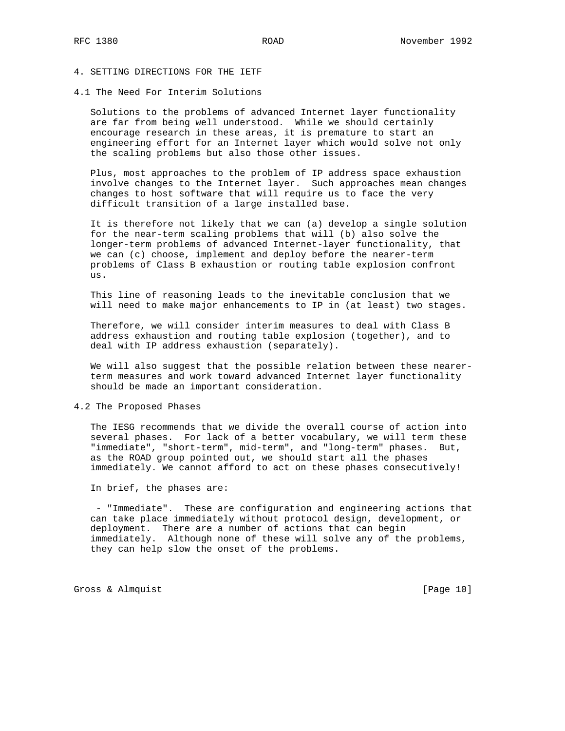# 4. SETTING DIRECTIONS FOR THE IETF

#### 4.1 The Need For Interim Solutions

 Solutions to the problems of advanced Internet layer functionality are far from being well understood. While we should certainly encourage research in these areas, it is premature to start an engineering effort for an Internet layer which would solve not only the scaling problems but also those other issues.

 Plus, most approaches to the problem of IP address space exhaustion involve changes to the Internet layer. Such approaches mean changes changes to host software that will require us to face the very difficult transition of a large installed base.

 It is therefore not likely that we can (a) develop a single solution for the near-term scaling problems that will (b) also solve the longer-term problems of advanced Internet-layer functionality, that we can (c) choose, implement and deploy before the nearer-term problems of Class B exhaustion or routing table explosion confront us.

 This line of reasoning leads to the inevitable conclusion that we will need to make major enhancements to IP in (at least) two stages.

 Therefore, we will consider interim measures to deal with Class B address exhaustion and routing table explosion (together), and to deal with IP address exhaustion (separately).

 We will also suggest that the possible relation between these nearer term measures and work toward advanced Internet layer functionality should be made an important consideration.

## 4.2 The Proposed Phases

 The IESG recommends that we divide the overall course of action into several phases. For lack of a better vocabulary, we will term these "immediate", "short-term", mid-term", and "long-term" phases. But, as the ROAD group pointed out, we should start all the phases immediately. We cannot afford to act on these phases consecutively!

In brief, the phases are:

 - "Immediate". These are configuration and engineering actions that can take place immediately without protocol design, development, or deployment. There are a number of actions that can begin immediately. Although none of these will solve any of the problems, they can help slow the onset of the problems.

Gross & Almquist [Page 10]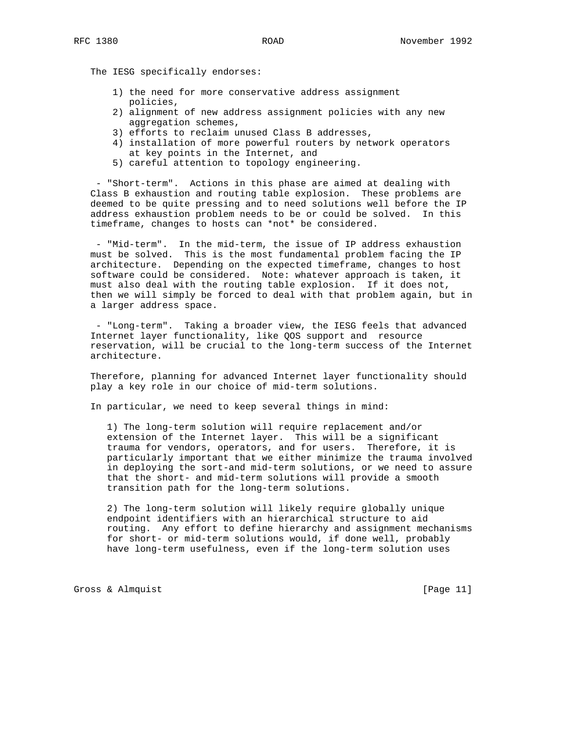The IESG specifically endorses:

- 1) the need for more conservative address assignment policies,
- 2) alignment of new address assignment policies with any new aggregation schemes,
- 3) efforts to reclaim unused Class B addresses,
- 4) installation of more powerful routers by network operators at key points in the Internet, and
- 5) careful attention to topology engineering.

 - "Short-term". Actions in this phase are aimed at dealing with Class B exhaustion and routing table explosion. These problems are deemed to be quite pressing and to need solutions well before the IP address exhaustion problem needs to be or could be solved. In this timeframe, changes to hosts can \*not\* be considered.

 - "Mid-term". In the mid-term, the issue of IP address exhaustion must be solved. This is the most fundamental problem facing the IP architecture. Depending on the expected timeframe, changes to host software could be considered. Note: whatever approach is taken, it must also deal with the routing table explosion. If it does not, then we will simply be forced to deal with that problem again, but in a larger address space.

 - "Long-term". Taking a broader view, the IESG feels that advanced Internet layer functionality, like QOS support and resource reservation, will be crucial to the long-term success of the Internet architecture.

 Therefore, planning for advanced Internet layer functionality should play a key role in our choice of mid-term solutions.

In particular, we need to keep several things in mind:

 1) The long-term solution will require replacement and/or extension of the Internet layer. This will be a significant trauma for vendors, operators, and for users. Therefore, it is particularly important that we either minimize the trauma involved in deploying the sort-and mid-term solutions, or we need to assure that the short- and mid-term solutions will provide a smooth transition path for the long-term solutions.

 2) The long-term solution will likely require globally unique endpoint identifiers with an hierarchical structure to aid routing. Any effort to define hierarchy and assignment mechanisms for short- or mid-term solutions would, if done well, probably have long-term usefulness, even if the long-term solution uses

Gross & Almquist [Page 11]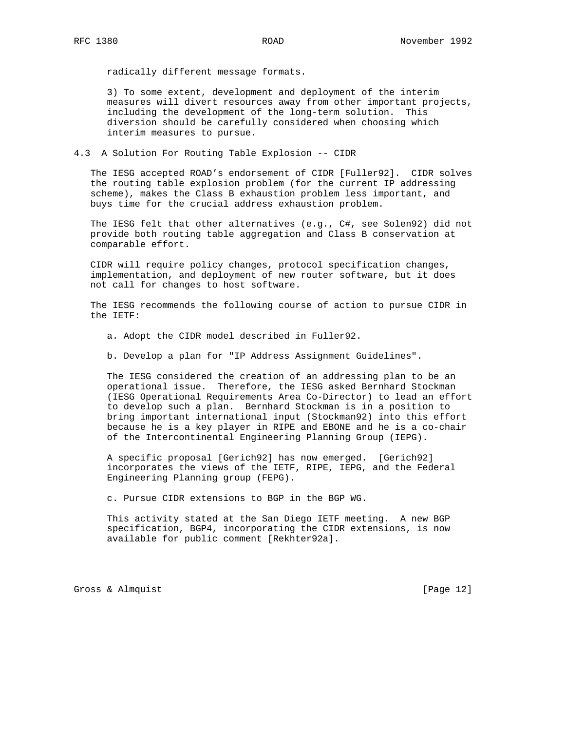radically different message formats.

 3) To some extent, development and deployment of the interim measures will divert resources away from other important projects, including the development of the long-term solution. This diversion should be carefully considered when choosing which interim measures to pursue.

4.3 A Solution For Routing Table Explosion -- CIDR

 The IESG accepted ROAD's endorsement of CIDR [Fuller92]. CIDR solves the routing table explosion problem (for the current IP addressing scheme), makes the Class B exhaustion problem less important, and buys time for the crucial address exhaustion problem.

 The IESG felt that other alternatives (e.g., C#, see Solen92) did not provide both routing table aggregation and Class B conservation at comparable effort.

 CIDR will require policy changes, protocol specification changes, implementation, and deployment of new router software, but it does not call for changes to host software.

 The IESG recommends the following course of action to pursue CIDR in the IETF:

a. Adopt the CIDR model described in Fuller92.

b. Develop a plan for "IP Address Assignment Guidelines".

 The IESG considered the creation of an addressing plan to be an operational issue. Therefore, the IESG asked Bernhard Stockman (IESG Operational Requirements Area Co-Director) to lead an effort to develop such a plan. Bernhard Stockman is in a position to bring important international input (Stockman92) into this effort because he is a key player in RIPE and EBONE and he is a co-chair of the Intercontinental Engineering Planning Group (IEPG).

 A specific proposal [Gerich92] has now emerged. [Gerich92] incorporates the views of the IETF, RIPE, IEPG, and the Federal Engineering Planning group (FEPG).

c. Pursue CIDR extensions to BGP in the BGP WG.

 This activity stated at the San Diego IETF meeting. A new BGP specification, BGP4, incorporating the CIDR extensions, is now available for public comment [Rekhter92a].

Gross & Almquist [Page 12]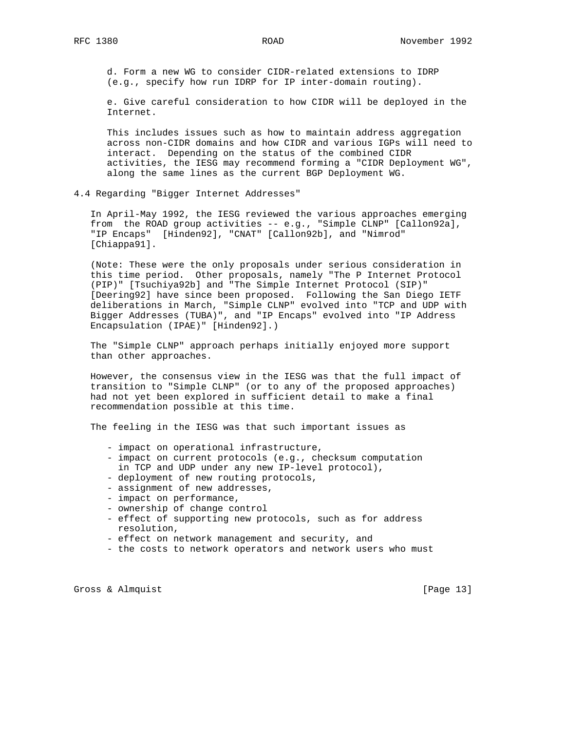d. Form a new WG to consider CIDR-related extensions to IDRP (e.g., specify how run IDRP for IP inter-domain routing).

 e. Give careful consideration to how CIDR will be deployed in the Internet.

 This includes issues such as how to maintain address aggregation across non-CIDR domains and how CIDR and various IGPs will need to interact. Depending on the status of the combined CIDR activities, the IESG may recommend forming a "CIDR Deployment WG", along the same lines as the current BGP Deployment WG.

4.4 Regarding "Bigger Internet Addresses"

 In April-May 1992, the IESG reviewed the various approaches emerging from the ROAD group activities -- e.g., "Simple CLNP" [Callon92a], "IP Encaps" [Hinden92], "CNAT" [Callon92b], and "Nimrod" [Chiappa91].

 (Note: These were the only proposals under serious consideration in this time period. Other proposals, namely "The P Internet Protocol (PIP)" [Tsuchiya92b] and "The Simple Internet Protocol (SIP)" [Deering92] have since been proposed. Following the San Diego IETF deliberations in March, "Simple CLNP" evolved into "TCP and UDP with Bigger Addresses (TUBA)", and "IP Encaps" evolved into "IP Address Encapsulation (IPAE)" [Hinden92].)

 The "Simple CLNP" approach perhaps initially enjoyed more support than other approaches.

 However, the consensus view in the IESG was that the full impact of transition to "Simple CLNP" (or to any of the proposed approaches) had not yet been explored in sufficient detail to make a final recommendation possible at this time.

The feeling in the IESG was that such important issues as

- impact on operational infrastructure,
- impact on current protocols (e.g., checksum computation in TCP and UDP under any new IP-level protocol),
- deployment of new routing protocols,
- assignment of new addresses,
- impact on performance,
- ownership of change control
- effect of supporting new protocols, such as for address resolution,
- effect on network management and security, and
- the costs to network operators and network users who must

Gross & Almquist [Page 13]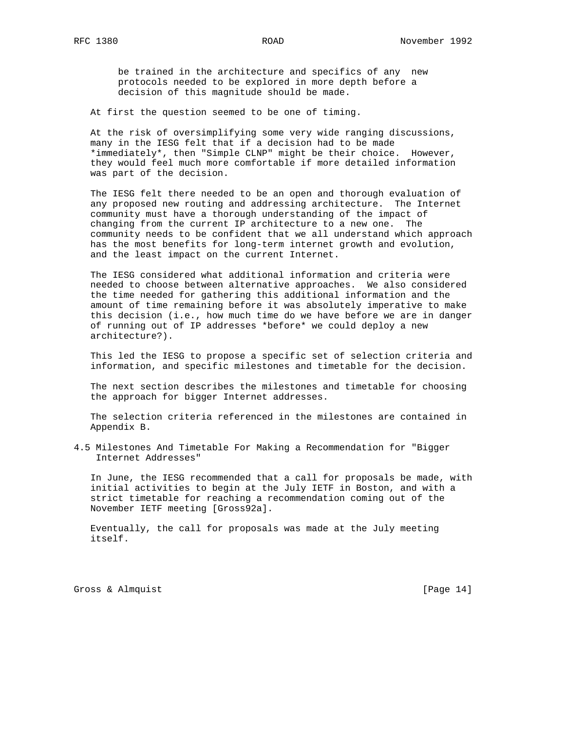be trained in the architecture and specifics of any new protocols needed to be explored in more depth before a decision of this magnitude should be made.

At first the question seemed to be one of timing.

 At the risk of oversimplifying some very wide ranging discussions, many in the IESG felt that if a decision had to be made \*immediately\*, then "Simple CLNP" might be their choice. However, they would feel much more comfortable if more detailed information was part of the decision.

 The IESG felt there needed to be an open and thorough evaluation of any proposed new routing and addressing architecture. The Internet community must have a thorough understanding of the impact of changing from the current IP architecture to a new one. The community needs to be confident that we all understand which approach has the most benefits for long-term internet growth and evolution, and the least impact on the current Internet.

 The IESG considered what additional information and criteria were needed to choose between alternative approaches. We also considered the time needed for gathering this additional information and the amount of time remaining before it was absolutely imperative to make this decision (i.e., how much time do we have before we are in danger of running out of IP addresses \*before\* we could deploy a new architecture?).

 This led the IESG to propose a specific set of selection criteria and information, and specific milestones and timetable for the decision.

 The next section describes the milestones and timetable for choosing the approach for bigger Internet addresses.

 The selection criteria referenced in the milestones are contained in Appendix B.

4.5 Milestones And Timetable For Making a Recommendation for "Bigger Internet Addresses"

 In June, the IESG recommended that a call for proposals be made, with initial activities to begin at the July IETF in Boston, and with a strict timetable for reaching a recommendation coming out of the November IETF meeting [Gross92a].

 Eventually, the call for proposals was made at the July meeting itself.

Gross & Almquist [Page 14]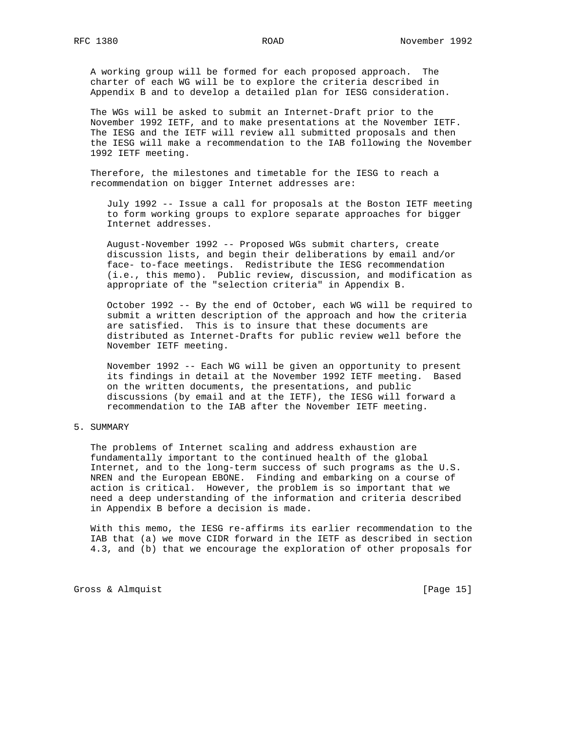A working group will be formed for each proposed approach. The charter of each WG will be to explore the criteria described in Appendix B and to develop a detailed plan for IESG consideration.

 The WGs will be asked to submit an Internet-Draft prior to the November 1992 IETF, and to make presentations at the November IETF. The IESG and the IETF will review all submitted proposals and then the IESG will make a recommendation to the IAB following the November 1992 IETF meeting.

 Therefore, the milestones and timetable for the IESG to reach a recommendation on bigger Internet addresses are:

 July 1992 -- Issue a call for proposals at the Boston IETF meeting to form working groups to explore separate approaches for bigger Internet addresses.

 August-November 1992 -- Proposed WGs submit charters, create discussion lists, and begin their deliberations by email and/or face- to-face meetings. Redistribute the IESG recommendation (i.e., this memo). Public review, discussion, and modification as appropriate of the "selection criteria" in Appendix B.

 October 1992 -- By the end of October, each WG will be required to submit a written description of the approach and how the criteria are satisfied. This is to insure that these documents are distributed as Internet-Drafts for public review well before the November IETF meeting.

 November 1992 -- Each WG will be given an opportunity to present its findings in detail at the November 1992 IETF meeting. Based on the written documents, the presentations, and public discussions (by email and at the IETF), the IESG will forward a recommendation to the IAB after the November IETF meeting.

## 5. SUMMARY

 The problems of Internet scaling and address exhaustion are fundamentally important to the continued health of the global Internet, and to the long-term success of such programs as the U.S. NREN and the European EBONE. Finding and embarking on a course of action is critical. However, the problem is so important that we need a deep understanding of the information and criteria described in Appendix B before a decision is made.

 With this memo, the IESG re-affirms its earlier recommendation to the IAB that (a) we move CIDR forward in the IETF as described in section 4.3, and (b) that we encourage the exploration of other proposals for

Gross & Almquist [Page 15]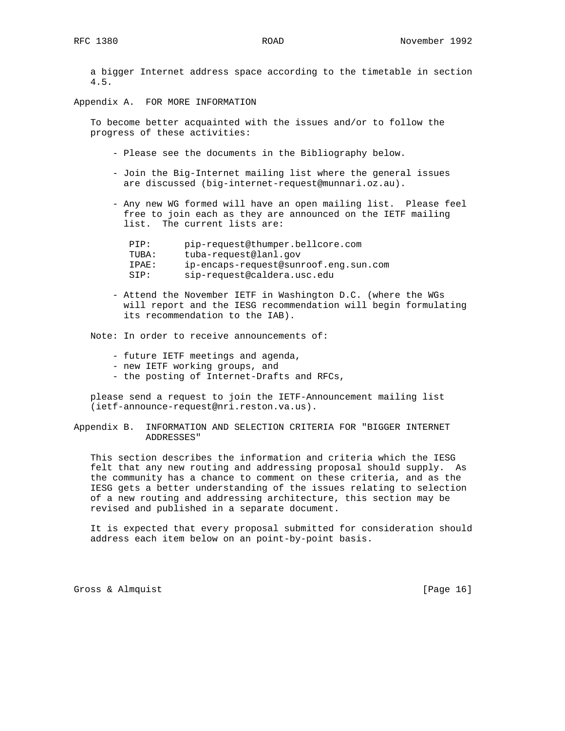a bigger Internet address space according to the timetable in section 4.5.

Appendix A. FOR MORE INFORMATION

 To become better acquainted with the issues and/or to follow the progress of these activities:

- Please see the documents in the Bibliography below.
- Join the Big-Internet mailing list where the general issues are discussed (big-internet-request@munnari.oz.au).
- Any new WG formed will have an open mailing list. Please feel free to join each as they are announced on the IETF mailing list. The current lists are:

| PTP:  | pip-request@thumper.bellcore.com      |
|-------|---------------------------------------|
| TUBA: | tuba-request@lanl.qov                 |
| TPAE: | ip-encaps-request@sunroof.eng.sun.com |
| STP:  | sip-request@caldera.usc.edu           |

 - Attend the November IETF in Washington D.C. (where the WGs will report and the IESG recommendation will begin formulating its recommendation to the IAB).

Note: In order to receive announcements of:

- future IETF meetings and agenda,
- new IETF working groups, and
- the posting of Internet-Drafts and RFCs,

 please send a request to join the IETF-Announcement mailing list (ietf-announce-request@nri.reston.va.us).

Appendix B. INFORMATION AND SELECTION CRITERIA FOR "BIGGER INTERNET ADDRESSES"

 This section describes the information and criteria which the IESG felt that any new routing and addressing proposal should supply. As the community has a chance to comment on these criteria, and as the IESG gets a better understanding of the issues relating to selection of a new routing and addressing architecture, this section may be revised and published in a separate document.

 It is expected that every proposal submitted for consideration should address each item below on an point-by-point basis.

Gross & Almquist [Page 16]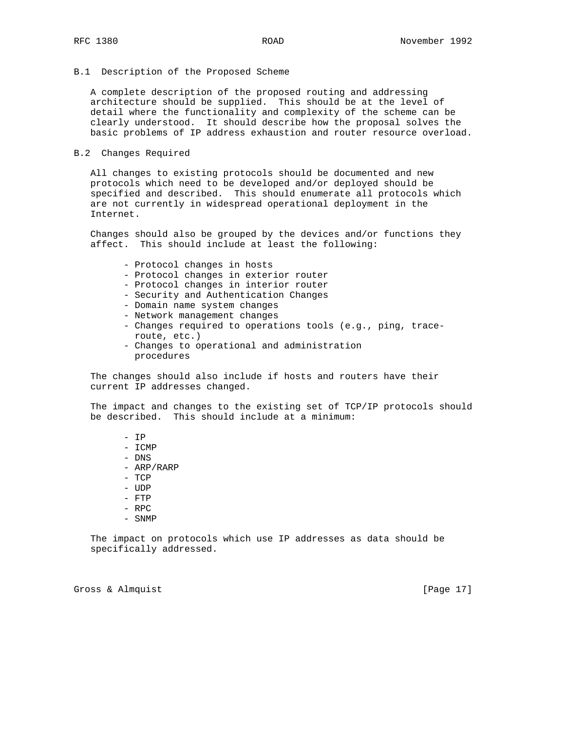### B.1 Description of the Proposed Scheme

 A complete description of the proposed routing and addressing architecture should be supplied. This should be at the level of detail where the functionality and complexity of the scheme can be clearly understood. It should describe how the proposal solves the basic problems of IP address exhaustion and router resource overload.

#### B.2 Changes Required

 All changes to existing protocols should be documented and new protocols which need to be developed and/or deployed should be specified and described. This should enumerate all protocols which are not currently in widespread operational deployment in the Internet.

 Changes should also be grouped by the devices and/or functions they affect. This should include at least the following:

- Protocol changes in hosts
- Protocol changes in exterior router
- Protocol changes in interior router
- Security and Authentication Changes
- Domain name system changes
- Network management changes
- Changes required to operations tools (e.g., ping, trace route, etc.)
- Changes to operational and administration procedures

 The changes should also include if hosts and routers have their current IP addresses changed.

 The impact and changes to the existing set of TCP/IP protocols should be described. This should include at a minimum:

- IP
- ICMP
- DNS
- ARP/RARP
- TCP
- UDP
- FTP
- RPC
- SNMP

 The impact on protocols which use IP addresses as data should be specifically addressed.

Gross & Almquist [Page 17]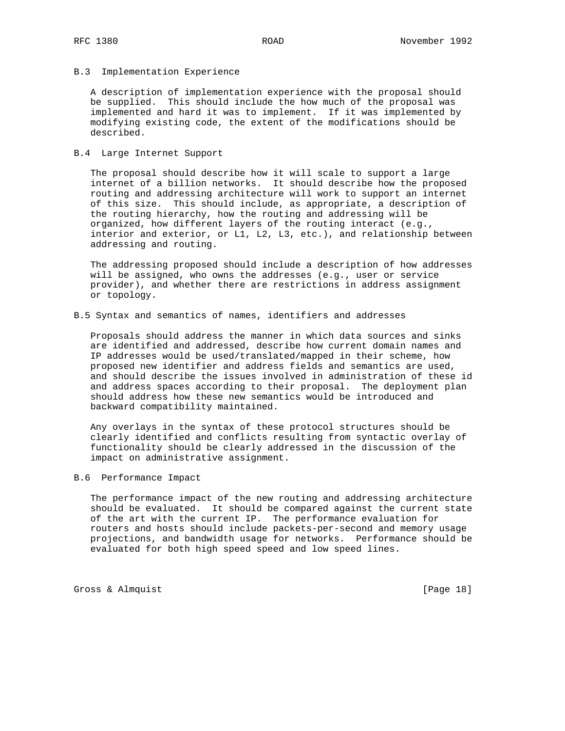### B.3 Implementation Experience

 A description of implementation experience with the proposal should be supplied. This should include the how much of the proposal was implemented and hard it was to implement. If it was implemented by modifying existing code, the extent of the modifications should be described.

### B.4 Large Internet Support

 The proposal should describe how it will scale to support a large internet of a billion networks. It should describe how the proposed routing and addressing architecture will work to support an internet of this size. This should include, as appropriate, a description of the routing hierarchy, how the routing and addressing will be organized, how different layers of the routing interact (e.g., interior and exterior, or L1, L2, L3, etc.), and relationship between addressing and routing.

 The addressing proposed should include a description of how addresses will be assigned, who owns the addresses (e.g., user or service provider), and whether there are restrictions in address assignment or topology.

## B.5 Syntax and semantics of names, identifiers and addresses

 Proposals should address the manner in which data sources and sinks are identified and addressed, describe how current domain names and IP addresses would be used/translated/mapped in their scheme, how proposed new identifier and address fields and semantics are used, and should describe the issues involved in administration of these id and address spaces according to their proposal. The deployment plan should address how these new semantics would be introduced and backward compatibility maintained.

 Any overlays in the syntax of these protocol structures should be clearly identified and conflicts resulting from syntactic overlay of functionality should be clearly addressed in the discussion of the impact on administrative assignment.

## B.6 Performance Impact

 The performance impact of the new routing and addressing architecture should be evaluated. It should be compared against the current state of the art with the current IP. The performance evaluation for routers and hosts should include packets-per-second and memory usage projections, and bandwidth usage for networks. Performance should be evaluated for both high speed speed and low speed lines.

Gross & Almquist [Page 18]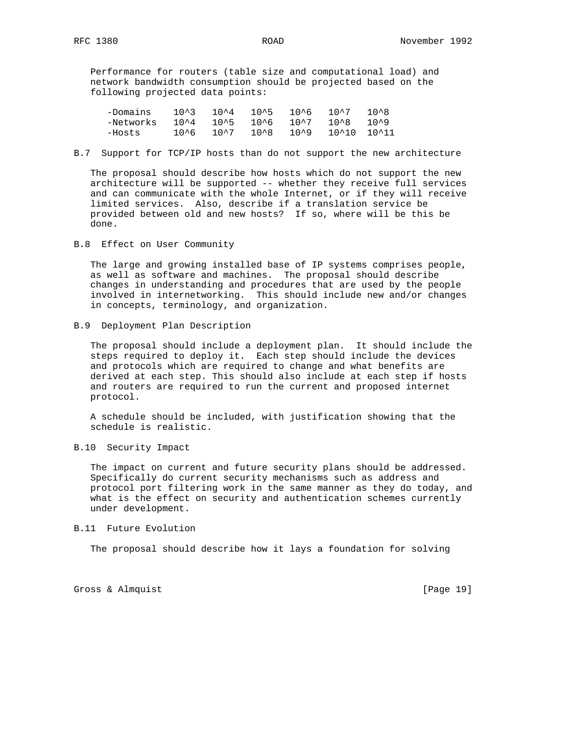Performance for routers (table size and computational load) and network bandwidth consumption should be projected based on the following projected data points:

| -Domains  | 10^3 | 10^4 | $10^{\sim}5$ | 1 በ^ 6 | 10^7        | 1 በ ^ ጸ |
|-----------|------|------|--------------|--------|-------------|---------|
| -Networks | 10^4 | 10^5 | 10^6         | 10^7   | ገ በ ^ ጸ     | 10^9    |
| -Hosts    | 10^6 | 10^7 | ገ በ ^ ጸ      | 10^9   | 10^10 10^11 |         |

B.7 Support for TCP/IP hosts than do not support the new architecture

 The proposal should describe how hosts which do not support the new architecture will be supported -- whether they receive full services and can communicate with the whole Internet, or if they will receive limited services. Also, describe if a translation service be provided between old and new hosts? If so, where will be this be done.

B.8 Effect on User Community

 The large and growing installed base of IP systems comprises people, as well as software and machines. The proposal should describe changes in understanding and procedures that are used by the people involved in internetworking. This should include new and/or changes in concepts, terminology, and organization.

B.9 Deployment Plan Description

 The proposal should include a deployment plan. It should include the steps required to deploy it. Each step should include the devices and protocols which are required to change and what benefits are derived at each step. This should also include at each step if hosts and routers are required to run the current and proposed internet protocol.

 A schedule should be included, with justification showing that the schedule is realistic.

B.10 Security Impact

 The impact on current and future security plans should be addressed. Specifically do current security mechanisms such as address and protocol port filtering work in the same manner as they do today, and what is the effect on security and authentication schemes currently under development.

## B.11 Future Evolution

The proposal should describe how it lays a foundation for solving

Gross & Almquist [Page 19]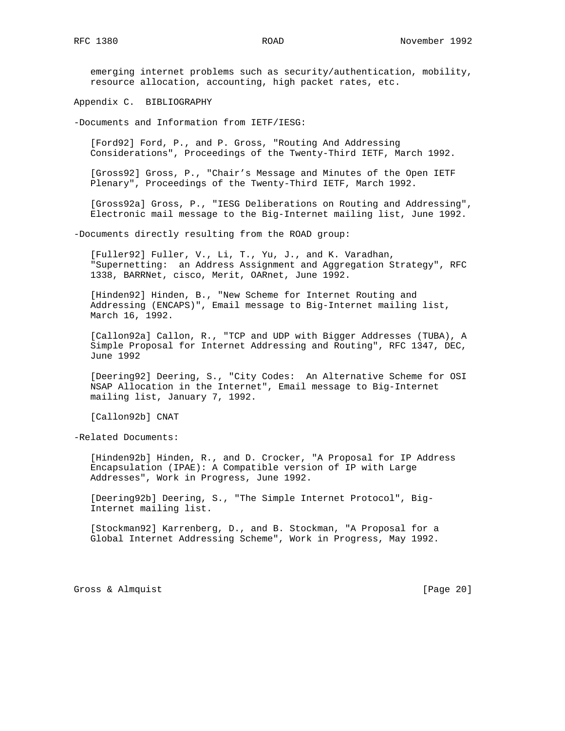emerging internet problems such as security/authentication, mobility, resource allocation, accounting, high packet rates, etc.

Appendix C. BIBLIOGRAPHY

-Documents and Information from IETF/IESG:

 [Ford92] Ford, P., and P. Gross, "Routing And Addressing Considerations", Proceedings of the Twenty-Third IETF, March 1992.

 [Gross92] Gross, P., "Chair's Message and Minutes of the Open IETF Plenary", Proceedings of the Twenty-Third IETF, March 1992.

 [Gross92a] Gross, P., "IESG Deliberations on Routing and Addressing", Electronic mail message to the Big-Internet mailing list, June 1992.

-Documents directly resulting from the ROAD group:

 [Fuller92] Fuller, V., Li, T., Yu, J., and K. Varadhan, "Supernetting: an Address Assignment and Aggregation Strategy", RFC 1338, BARRNet, cisco, Merit, OARnet, June 1992.

 [Hinden92] Hinden, B., "New Scheme for Internet Routing and Addressing (ENCAPS)", Email message to Big-Internet mailing list, March 16, 1992.

 [Callon92a] Callon, R., "TCP and UDP with Bigger Addresses (TUBA), A Simple Proposal for Internet Addressing and Routing", RFC 1347, DEC, June 1992

 [Deering92] Deering, S., "City Codes: An Alternative Scheme for OSI NSAP Allocation in the Internet", Email message to Big-Internet mailing list, January 7, 1992.

[Callon92b] CNAT

-Related Documents:

 [Hinden92b] Hinden, R., and D. Crocker, "A Proposal for IP Address Encapsulation (IPAE): A Compatible version of IP with Large Addresses", Work in Progress, June 1992.

 [Deering92b] Deering, S., "The Simple Internet Protocol", Big- Internet mailing list.

 [Stockman92] Karrenberg, D., and B. Stockman, "A Proposal for a Global Internet Addressing Scheme", Work in Progress, May 1992.

Gross & Almquist [Page 20]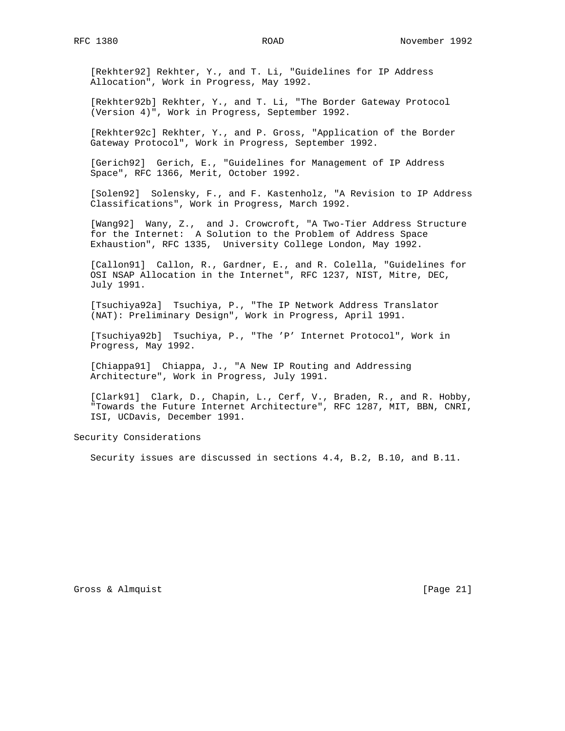[Rekhter92] Rekhter, Y., and T. Li, "Guidelines for IP Address Allocation", Work in Progress, May 1992.

 [Rekhter92b] Rekhter, Y., and T. Li, "The Border Gateway Protocol (Version 4)", Work in Progress, September 1992.

 [Rekhter92c] Rekhter, Y., and P. Gross, "Application of the Border Gateway Protocol", Work in Progress, September 1992.

 [Gerich92] Gerich, E., "Guidelines for Management of IP Address Space", RFC 1366, Merit, October 1992.

 [Solen92] Solensky, F., and F. Kastenholz, "A Revision to IP Address Classifications", Work in Progress, March 1992.

 [Wang92] Wany, Z., and J. Crowcroft, "A Two-Tier Address Structure for the Internet: A Solution to the Problem of Address Space Exhaustion", RFC 1335, University College London, May 1992.

 [Callon91] Callon, R., Gardner, E., and R. Colella, "Guidelines for OSI NSAP Allocation in the Internet", RFC 1237, NIST, Mitre, DEC, July 1991.

 [Tsuchiya92a] Tsuchiya, P., "The IP Network Address Translator (NAT): Preliminary Design", Work in Progress, April 1991.

 [Tsuchiya92b] Tsuchiya, P., "The 'P' Internet Protocol", Work in Progress, May 1992.

 [Chiappa91] Chiappa, J., "A New IP Routing and Addressing Architecture", Work in Progress, July 1991.

[Clark91] Clark, D., Chapin, L., Cerf, V., Braden, R., and R. Hobby, "Towards the Future Internet Architecture", RFC 1287, MIT, BBN, CNRI, ISI, UCDavis, December 1991.

Security Considerations

Security issues are discussed in sections 4.4, B.2, B.10, and B.11.

Gross & Almquist [Page 21]